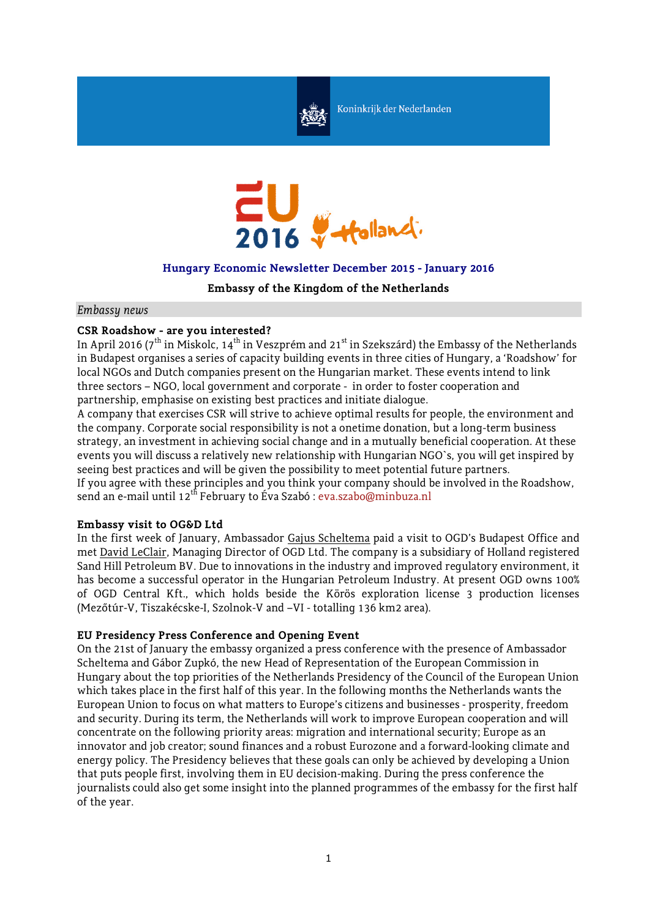

Koninkrijk der Nederlanden



### **Hungary Economic Newsletter December 2015 - January 2016**

**Embassy of the Kingdom of the Netherlands**

#### *Embassy news*

### **CSR Roadshow - are you interested?**

In April 2016 ( $7^{\text{th}}$  in Miskolc, 14<sup>th</sup> in Veszprém and 21<sup>st</sup> in Szekszárd) the Embassy of the Netherlands in Budapest organises a series of capacity building events in three cities of Hungary, a 'Roadshow' for local NGOs and Dutch companies present on the Hungarian market. These events intend to link three sectors – NGO, local government and corporate - in order to foster cooperation and partnership, emphasise on existing best practices and initiate dialogue.

A company that exercises CSR will strive to achieve optimal results for people, the environment and the company. Corporate social responsibility is not a onetime donation, but a long-term business strategy, an investment in achieving social change and in a mutually beneficial cooperation. At these events you will discuss a relatively new relationship with Hungarian NGO`s, you will get inspired by seeing best practices and will be given the possibility to meet potential future partners. If you agree with these principles and you think your company should be involved in the Roadshow,

send an e-mail until 12<sup>th</sup> February to Éva Szabó : [eva.szabo@minbuza.nl](mailto:eva.szabo@minbuza.nl)

### **Embassy visit to OG&D Ltd**

In the first week of January, Ambassador Gajus Scheltema paid a visit to OGD's Budapest Office and met David LeClair, Managing Director of OGD Ltd. The company is a subsidiary of Holland registered Sand Hill Petroleum BV. Due to innovations in the industry and improved regulatory environment, it has become a successful operator in the Hungarian Petroleum Industry. At present OGD owns 100% of OGD Central Kft., which holds beside the Körös exploration license 3 production licenses (Mezőtúr-V, Tiszakécske-I, Szolnok-V and –VI - totalling 136 km2 area).

### **EU Presidency Press Conference and Opening Event**

On the 21st of January the embassy organized a press conference with the presence of Ambassador Scheltema and Gábor Zupkó, the new Head of Representation of the European Commission in Hungary about the top priorities of the Netherlands Presidency of the Council of the European Union which takes place in the first half of this year. In the following months the Netherlands wants the European Union to focus on what matters to Europe's citizens and businesses - prosperity, freedom and security. During its term, the Netherlands will work to improve European cooperation and will concentrate on the following priority areas: migration and international security; Europe as an innovator and job creator; sound finances and a robust Eurozone and a forward-looking climate and energy policy. The Presidency believes that these goals can only be achieved by developing a Union that puts people first, involving them in EU decision-making. During the press conference the journalists could also get some insight into the planned programmes of the embassy for the first half of the year.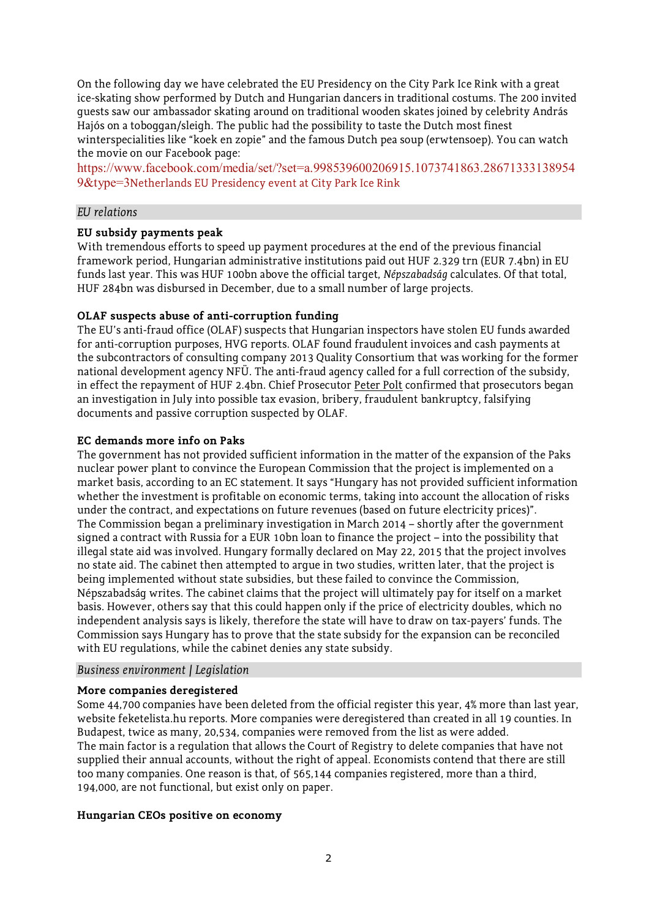On the following day we have celebrated the EU Presidency on the City Park Ice Rink with a great ice-skating show performed by Dutch and Hungarian dancers in traditional costums. The 200 invited guests saw our ambassador skating around on traditional wooden skates joined by celebrity András Hajós on a toboggan/sleigh. The public had the possibility to taste the Dutch most finest winterspecialities like "koek en zopie" and the famous Dutch pea soup (erwtensoep). You can watch the movie on our Facebook page:

https://www.facebook.com/media/set/?set=a.998539600206915.1073741863.28671333138954 9&type=3Netherlands EU Presidency event at City Park Ice Rink

## *EU relations*

## **EU subsidy payments peak**

With tremendous efforts to speed up payment procedures at the end of the previous financial framework period, Hungarian administrative institutions paid out HUF 2.329 trn (EUR 7.4bn) in EU funds last year. This was HUF 100bn above the official target, *Népszabadság* calculates. Of that total, HUF 284bn was disbursed in December, due to a small number of large projects.

## **OLAF suspects abuse of anti-corruption funding**

The EU's anti-fraud office (OLAF) suspects that Hungarian inspectors have stolen EU funds awarded for anti-corruption purposes, HVG reports. OLAF found fraudulent invoices and cash payments at the subcontractors of consulting company 2013 Quality Consortium that was working for the former national development agency NFÜ. The anti-fraud agency called for a full correction of the subsidy, in effect the repayment of HUF 2.4bn. Chief Prosecutor Peter Polt confirmed that prosecutors began an investigation in July into possible tax evasion, bribery, fraudulent bankruptcy, falsifying documents and passive corruption suspected by OLAF.

## **EC demands more info on Paks**

The government has not provided sufficient information in the matter of the expansion of the Paks nuclear power plant to convince the European Commission that the project is implemented on a market basis, according to an EC statement. It says "Hungary has not provided sufficient information whether the investment is profitable on economic terms, taking into account the allocation of risks under the contract, and expectations on future revenues (based on future electricity prices)". The Commission began a preliminary investigation in March 2014 – shortly after the government signed a contract with Russia for a EUR 10bn loan to finance the project – into the possibility that illegal state aid was involved. Hungary formally declared on May 22, 2015 that the project involves no state aid. The cabinet then attempted to argue in two studies, written later, that the project is being implemented without state subsidies, but these failed to convince the Commission, Népszabadság writes. The cabinet claims that the project will ultimately pay for itself on a market basis. However, others say that this could happen only if the price of electricity doubles, which no independent analysis says is likely, therefore the state will have to draw on tax-payers' funds. The Commission says Hungary has to prove that the state subsidy for the expansion can be reconciled with EU regulations, while the cabinet denies any state subsidy.

### *Business environment / Legislation*

### **More companies deregistered**

Some 44,700 companies have been deleted from the official register this year, 4% more than last year, website feketelista.hu reports. More companies were deregistered than created in all 19 counties. In Budapest, twice as many, 20,534, companies were removed from the list as were added. The main factor is a regulation that allows the Court of Registry to delete companies that have not supplied their annual accounts, without the right of appeal. Economists contend that there are still too many companies. One reason is that, of 565,144 companies registered, more than a third, 194,000, are not functional, but exist only on paper.

### **Hungarian CEOs positive on economy**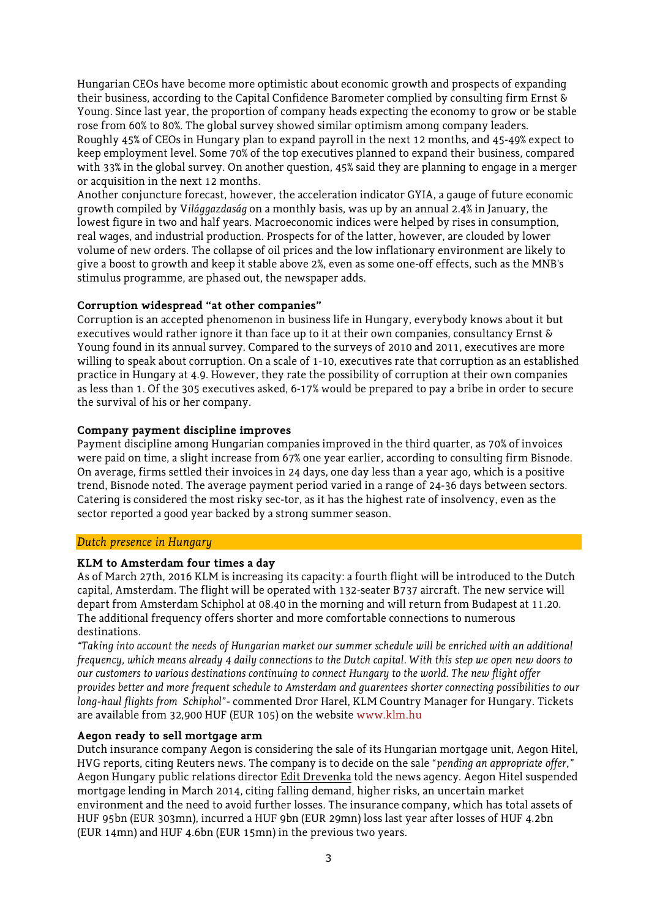Hungarian CEOs have become more optimistic about economic growth and prospects of expanding their business, according to the Capital Confidence Barometer complied by consulting firm Ernst & Young. Since last year, the proportion of company heads expecting the economy to grow or be stable rose from 60% to 80%. The global survey showed similar optimism among company leaders. Roughly 45% of CEOs in Hungary plan to expand payroll in the next 12 months, and 45-49% expect to keep employment level. Some 70% of the top executives planned to expand their business, compared with 33% in the global survey. On another question, 45% said they are planning to engage in a merger or acquisition in the next 12 months.

Another conjuncture forecast, however, the acceleration indicator GYIA, a gauge of future economic growth compiled by V*ilággazdaság* on a monthly basis, was up by an annual 2.4% in January, the lowest figure in two and half years. Macroeconomic indices were helped by rises in consumption, real wages, and industrial production. Prospects for of the latter, however, are clouded by lower volume of new orders. The collapse of oil prices and the low inflationary environment are likely to give a boost to growth and keep it stable above 2%, even as some one-off effects, such as the MNB's stimulus programme, are phased out, the newspaper adds.

### **Corruption widespread "at other companies"**

Corruption is an accepted phenomenon in business life in Hungary, everybody knows about it but executives would rather ignore it than face up to it at their own companies, consultancy Ernst & Young found in its annual survey. Compared to the surveys of 2010 and 2011, executives are more willing to speak about corruption. On a scale of 1-10, executives rate that corruption as an established practice in Hungary at 4.9. However, they rate the possibility of corruption at their own companies as less than 1. Of the 305 executives asked, 6-17% would be prepared to pay a bribe in order to secure the survival of his or her company.

## **Company payment discipline improves**

Payment discipline among Hungarian companies improved in the third quarter, as 70% of invoices were paid on time, a slight increase from 67% one year earlier, according to consulting firm Bisnode. On average, firms settled their invoices in 24 days, one day less than a year ago, which is a positive trend, Bisnode noted. The average payment period varied in a range of 24-36 days between sectors. Catering is considered the most risky sec-tor, as it has the highest rate of insolvency, even as the sector reported a good year backed by a strong summer season.

### *Dutch presence in Hungary*

# **KLM to Amsterdam four times a day**

As of March 27th, 2016 KLM is increasing its capacity: a fourth flight will be introduced to the Dutch capital, Amsterdam. The flight will be operated with 132-seater B737 aircraft. The new service will depart from Amsterdam Schiphol at 08.40 in the morning and will return from Budapest at 11.20. The additional frequency offers shorter and more comfortable connections to numerous destinations.

*"Taking into account the needs of Hungarian market our summer schedule will be enriched with an additional frequency, which means already 4 daily connections to the Dutch capital. With this step we open new doors to our customers to various destinations continuing to connect Hungary to the world. The new flight offer provides better and more frequent schedule to Amsterdam and [guarentees sho](http://www.klm.hu/)rter connecting possibilities to our long-haul flights from Schiphol*"- commented Dror Harel, KLM Country Manager for Hungary. Tickets are available from 32,900 HUF (EUR 105) on the website www.klm.hu

### **Aegon ready to sell mortgage arm**

Dutch insurance company Aegon is considering the sale of its Hungarian mortgage unit, Aegon Hitel, HVG reports, citing Reuters news. The company is to decide on the sale "*pending an appropriate offer,"* Aegon Hungary public relations director Edit Drevenka told the news agency. Aegon Hitel suspended mortgage lending in March 2014, citing falling demand, higher risks, an uncertain market environment and the need to avoid further losses. The insurance company, which has total assets of HUF 95bn (EUR 303mn), incurred a HUF 9bn (EUR 29mn) loss last year after losses of HUF 4.2bn (EUR 14mn) and HUF 4.6bn (EUR 15mn) in the previous two years.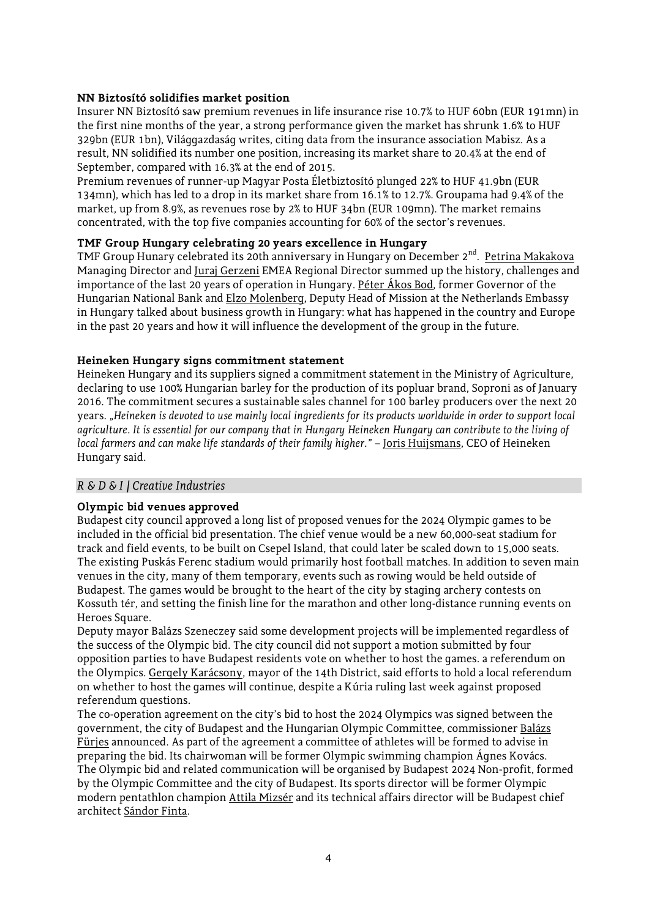## **NN Biztosító solidifies market position**

Insurer NN Biztosító saw premium revenues in life insurance rise 10.7% to HUF 60bn (EUR 191mn) in the first nine months of the year, a strong performance given the market has shrunk 1.6% to HUF 329bn (EUR 1bn), Világgazdaság writes, citing data from the insurance association Mabisz. As a result, NN solidified its number one position, increasing its market share to 20.4% at the end of September, compared with 16.3% at the end of 2015.

Premium revenues of runner-up Magyar Posta Életbiztosító plunged 22% to HUF 41.9bn (EUR 134mn), which has led to a drop in its market share from 16.1% to 12.7%. Groupama had 9.4% of the market, up from 8.9%, as revenues rose by 2% to HUF 34bn (EUR 109mn). The market remains concentrated, with the top five companies accounting for 60% of the sector's revenues.

## **TMF Group Hungary celebrating 20 years excellence in Hungary**

TMF Group Hunary celebrated its 20th anniversary in Hungary on December 2<sup>nd</sup>. Petrina Makakova Managing Director and Juraj Gerzeni EMEA Regional Director summed up the history, challenges and importance of the last 20 years of operation in Hungary. Péter Ákos Bod, former Governor of the Hungarian National Bank and Elzo Molenberg, Deputy Head of Mission at the Netherlands Embassy in Hungary talked about business growth in Hungary: what has happened in the country and Europe in the past 20 years and how it will influence the development of the group in the future.

## **Heineken Hungary signs commitment statement**

Heineken Hungary and its suppliers signed a commitment statement in the Ministry of Agriculture, declaring to use 100% Hungarian barley for the production of its popluar brand, Soproni as of January 2016. The commitment secures a sustainable sales channel for 100 barley producers over the next 20 years. "*Heineken is devoted to use mainly local ingredients for its products worldwide in order to support local agriculture. It is essential for our company that in Hungary Heineken Hungary can contribute to the living of local farmers and can make life standards of their family higher."* – Joris Huijsmans, CEO of Heineken Hungary said.

# *R & D & I / Creative Industries*

# **Olympic bid venues approved**

Budapest city council approved a long list of proposed venues for the 2024 Olympic games to be included in the official bid presentation. The chief venue would be a new 60,000-seat stadium for track and field events, to be built on Csepel Island, that could later be scaled down to 15,000 seats. The existing Puskás Ferenc stadium would primarily host football matches. In addition to seven main venues in the city, many of them temporary, events such as rowing would be held outside of Budapest. The games would be brought to the heart of the city by staging archery contests on Kossuth tér, and setting the finish line for the marathon and other long-distance running events on Heroes Square.

Deputy mayor Balázs Szeneczey said some development projects will be implemented regardless of the success of the Olympic bid. The city council did not support a motion submitted by four opposition parties to have Budapest residents vote on whether to host the games. a referendum on the Olympics. Gergely Karácsony, mayor of the 14th District, said efforts to hold a local referendum on whether to host the games will continue, despite a Kúria ruling last week against proposed referendum questions.

The co-operation agreement on the city's bid to host the 2024 Olympics was signed between the government, the city of Budapest and the Hungarian Olympic Committee, commissioner Balázs Fürjes announced. As part of the agreement a committee of athletes will be formed to advise in preparing the bid. Its chairwoman will be former Olympic swimming champion Ágnes Kovács. The Olympic bid and related communication will be organised by Budapest 2024 Non-profit, formed by the Olympic Committee and the city of Budapest. Its sports director will be former Olympic modern pentathlon champion Attila Mizsér and its technical affairs director will be Budapest chief architect Sándor Finta.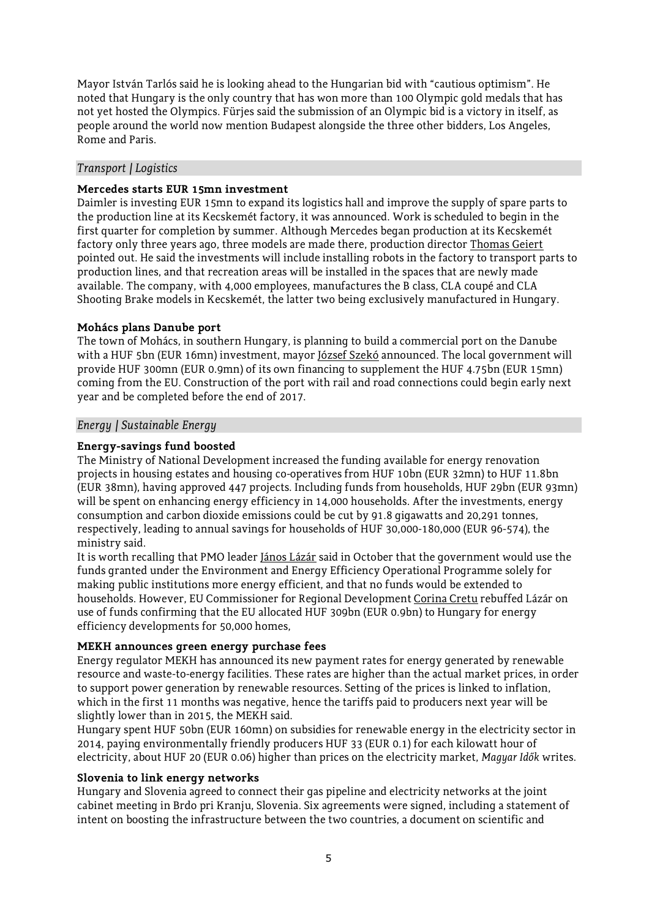Mayor István Tarlós said he is looking ahead to the Hungarian bid with "cautious optimism". He noted that Hungary is the only country that has won more than 100 Olympic gold medals that has not yet hosted the Olympics. Fürjes said the submission of an Olympic bid is a victory in itself, as people around the world now mention Budapest alongside the three other bidders, Los Angeles, Rome and Paris.

## *Transport / Logistics*

## **Mercedes starts EUR 15mn investment**

Daimler is investing EUR 15mn to expand its logistics hall and improve the supply of spare parts to the production line at its Kecskemét factory, it was announced. Work is scheduled to begin in the first quarter for completion by summer. Although Mercedes began production at its Kecskemét factory only three years ago, three models are made there, production director Thomas Geiert pointed out. He said the investments will include installing robots in the factory to transport parts to production lines, and that recreation areas will be installed in the spaces that are newly made available. The company, with 4,000 employees, manufactures the B class, CLA coupé and CLA Shooting Brake models in Kecskemét, the latter two being exclusively manufactured in Hungary.

## **Mohács plans Danube port**

The town of Mohács, in southern Hungary, is planning to build a commercial port on the Danube with a HUF 5bn (EUR 16mn) investment, mayor József Szekó announced. The local government will provide HUF 300mn (EUR 0.9mn) of its own financing to supplement the HUF 4.75bn (EUR 15mn) coming from the EU. Construction of the port with rail and road connections could begin early next year and be completed before the end of 2017.

## *Energy / Sustainable Energy*

# **Energy-savings fund boosted**

The Ministry of National Development increased the funding available for energy renovation projects in housing estates and housing co-operatives from HUF 10bn (EUR 32mn) to HUF 11.8bn (EUR 38mn), having approved 447 projects. Including funds from households, HUF 29bn (EUR 93mn) will be spent on enhancing energy efficiency in 14,000 households. After the investments, energy consumption and carbon dioxide emissions could be cut by 91.8 gigawatts and 20,291 tonnes, respectively, leading to annual savings for households of HUF 30,000-180,000 (EUR 96-574), the ministry said.

It is worth recalling that PMO leader János Lázár said in October that the government would use the funds granted under the Environment and Energy Efficiency Operational Programme solely for making public institutions more energy efficient, and that no funds would be extended to households. However, EU Commissioner for Regional Development Corina Cretu rebuffed Lázár on use of funds confirming that the EU allocated HUF 309bn (EUR 0.9bn) to Hungary for energy efficiency developments for 50,000 homes,

# **MEKH announces green energy purchase fees**

Energy regulator MEKH has announced its new payment rates for energy generated by renewable resource and waste-to-energy facilities. These rates are higher than the actual market prices, in order to support power generation by renewable resources. Setting of the prices is linked to inflation, which in the first 11 months was negative, hence the tariffs paid to producers next year will be slightly lower than in 2015, the MEKH said.

Hungary spent HUF 50bn (EUR 160mn) on subsidies for renewable energy in the electricity sector in 2014, paying environmentally friendly producers HUF 33 (EUR 0.1) for each kilowatt hour of electricity, about HUF 20 (EUR 0.06) higher than prices on the electricity market, *Magyar Idők* writes.

### **Slovenia to link energy networks**

Hungary and Slovenia agreed to connect their gas pipeline and electricity networks at the joint cabinet meeting in Brdo pri Kranju, Slovenia. Six agreements were signed, including a statement of intent on boosting the infrastructure between the two countries, a document on scientific and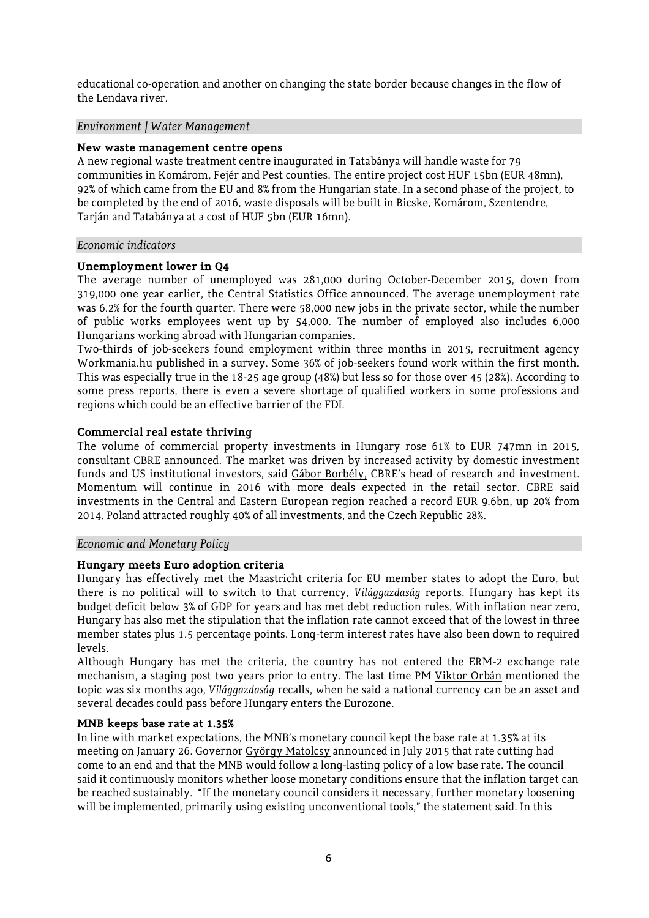educational co-operation and another on changing the state border because changes in the flow of the Lendava river.

## *Environment / Water Management*

### **New waste management centre opens**

A new regional waste treatment centre inaugurated in Tatabánya will handle waste for 79 communities in Komárom, Fejér and Pest counties. The entire project cost HUF 15bn (EUR 48mn), 92% of which came from the EU and 8% from the Hungarian state. In a second phase of the project, to be completed by the end of 2016, waste disposals will be built in Bicske, Komárom, Szentendre, Tarján and Tatabánya at a cost of HUF 5bn (EUR 16mn).

## *Economic indicators*

## **Unemployment lower in Q4**

The average number of unemployed was 281,000 during October-December 2015, down from 319,000 one year earlier, the Central Statistics Office announced. The average unemployment rate was 6.2% for the fourth quarter. There were 58,000 new jobs in the private sector, while the number of public works employees went up by 54,000. The number of employed also includes 6,000 Hungarians working abroad with Hungarian companies.

Two-thirds of job-seekers found employment within three months in 2015, recruitment agency Workmania.hu published in a survey. Some 36% of job-seekers found work within the first month. This was especially true in the 18-25 age group (48%) but less so for those over 45 (28%). According to some press reports, there is even a severe shortage of qualified workers in some professions and regions which could be an effective barrier of the FDI.

## **Commercial real estate thriving**

The volume of commercial property investments in Hungary rose 61% to EUR 747mn in 2015, consultant CBRE announced. The market was driven by increased activity by domestic investment funds and US institutional investors, said Gábor Borbély, CBRE's head of research and investment. Momentum will continue in 2016 with more deals expected in the retail sector. CBRE said investments in the Central and Eastern European region reached a record EUR 9.6bn, up 20% from 2014. Poland attracted roughly 40% of all investments, and the Czech Republic 28%.

### *Economic and Monetary Policy*

### **Hungary meets Euro adoption criteria**

Hungary has effectively met the Maastricht criteria for EU member states to adopt the Euro, but there is no political will to switch to that currency, *Világgazdaság* reports. Hungary has kept its budget deficit below 3% of GDP for years and has met debt reduction rules. With inflation near zero, Hungary has also met the stipulation that the inflation rate cannot exceed that of the lowest in three member states plus 1.5 percentage points. Long-term interest rates have also been down to required levels.

Although Hungary has met the criteria, the country has not entered the ERM-2 exchange rate mechanism, a staging post two years prior to entry. The last time PM Viktor Orbán mentioned the topic was six months ago, *Világgazdaság* recalls, when he said a national currency can be an asset and several decades could pass before Hungary enters the Eurozone.

### **MNB keeps base rate at 1.35%**

In line with market expectations, the MNB's monetary council kept the base rate at 1.35% at its meeting on January 26. Governor György Matolcsy announced in July 2015 that rate cutting had come to an end and that the MNB would follow a long-lasting policy of a low base rate. The council said it continuously monitors whether loose monetary conditions ensure that the inflation target can be reached sustainably. "If the monetary council considers it necessary, further monetary loosening will be implemented, primarily using existing unconventional tools," the statement said. In this